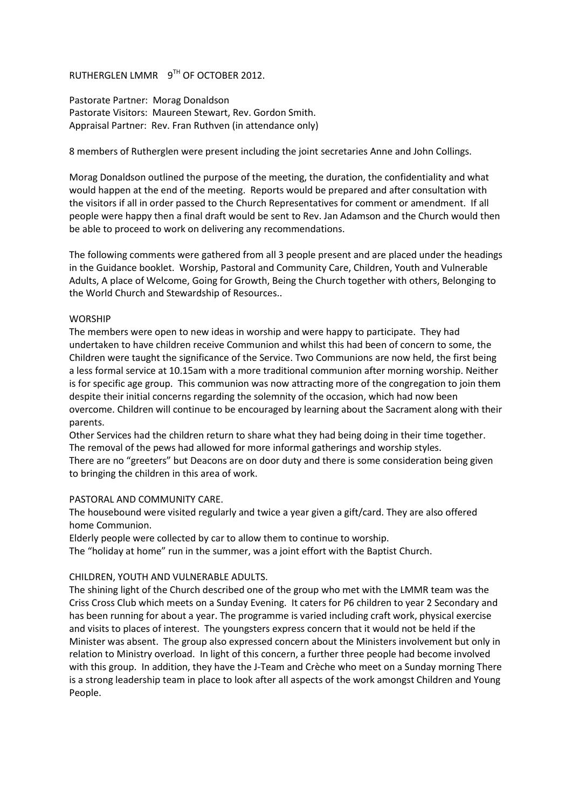## RUTHERGLEN LMMR 9TH OF OCTOBER 2012.

Pastorate Partner: Morag Donaldson Pastorate Visitors: Maureen Stewart, Rev. Gordon Smith. Appraisal Partner: Rev. Fran Ruthven (in attendance only)

8 members of Rutherglen were present including the joint secretaries Anne and John Collings.

Morag Donaldson outlined the purpose of the meeting, the duration, the confidentiality and what would happen at the end of the meeting. Reports would be prepared and after consultation with the visitors if all in order passed to the Church Representatives for comment or amendment. If all people were happy then a final draft would be sent to Rev. Jan Adamson and the Church would then be able to proceed to work on delivering any recommendations.

The following comments were gathered from all 3 people present and are placed under the headings in the Guidance booklet. Worship, Pastoral and Community Care, Children, Youth and Vulnerable Adults, A place of Welcome, Going for Growth, Being the Church together with others, Belonging to the World Church and Stewardship of Resources..

### WORSHIP

The members were open to new ideas in worship and were happy to participate. They had undertaken to have children receive Communion and whilst this had been of concern to some, the Children were taught the significance of the Service. Two Communions are now held, the first being a less formal service at 10.15am with a more traditional communion after morning worship. Neither is for specific age group. This communion was now attracting more of the congregation to join them despite their initial concerns regarding the solemnity of the occasion, which had now been overcome. Children will continue to be encouraged by learning about the Sacrament along with their parents.

Other Services had the children return to share what they had being doing in their time together. The removal of the pews had allowed for more informal gatherings and worship styles. There are no "greeters" but Deacons are on door duty and there is some consideration being given to bringing the children in this area of work.

### PASTORAL AND COMMUNITY CARE.

The housebound were visited regularly and twice a year given a gift/card. They are also offered home Communion.

Elderly people were collected by car to allow them to continue to worship. The "holiday at home" run in the summer, was a joint effort with the Baptist Church.

### CHILDREN, YOUTH AND VULNERABLE ADULTS.

The shining light of the Church described one of the group who met with the LMMR team was the Criss Cross Club which meets on a Sunday Evening. It caters for P6 children to year 2 Secondary and has been running for about a year. The programme is varied including craft work, physical exercise and visits to places of interest. The youngsters express concern that it would not be held if the Minister was absent. The group also expressed concern about the Ministers involvement but only in relation to Ministry overload. In light of this concern, a further three people had become involved with this group. In addition, they have the J-Team and Crèche who meet on a Sunday morning There is a strong leadership team in place to look after all aspects of the work amongst Children and Young People.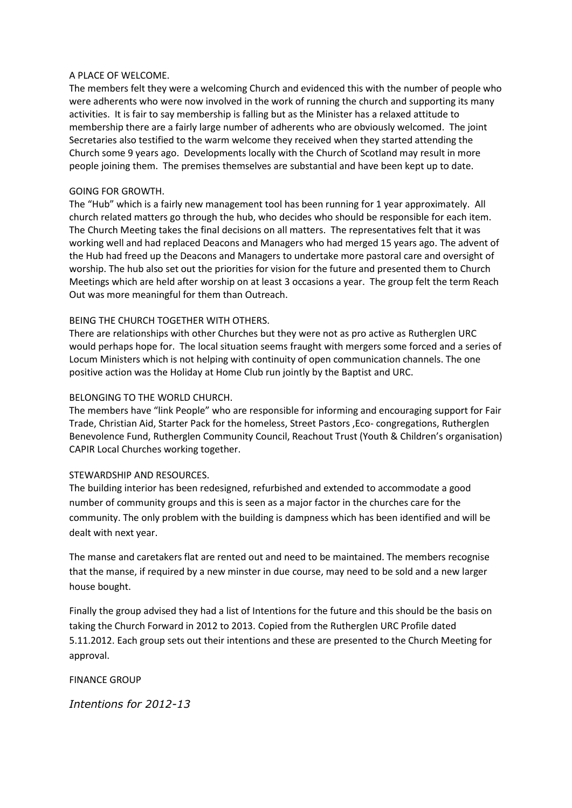#### A PLACE OF WELCOME.

The members felt they were a welcoming Church and evidenced this with the number of people who were adherents who were now involved in the work of running the church and supporting its many activities. It is fair to say membership is falling but as the Minister has a relaxed attitude to membership there are a fairly large number of adherents who are obviously welcomed. The joint Secretaries also testified to the warm welcome they received when they started attending the Church some 9 years ago. Developments locally with the Church of Scotland may result in more people joining them. The premises themselves are substantial and have been kept up to date.

### GOING FOR GROWTH.

The "Hub" which is a fairly new management tool has been running for 1 year approximately. All church related matters go through the hub, who decides who should be responsible for each item. The Church Meeting takes the final decisions on all matters. The representatives felt that it was working well and had replaced Deacons and Managers who had merged 15 years ago. The advent of the Hub had freed up the Deacons and Managers to undertake more pastoral care and oversight of worship. The hub also set out the priorities for vision for the future and presented them to Church Meetings which are held after worship on at least 3 occasions a year. The group felt the term Reach Out was more meaningful for them than Outreach.

### BEING THE CHURCH TOGETHER WITH OTHERS.

There are relationships with other Churches but they were not as pro active as Rutherglen URC would perhaps hope for. The local situation seems fraught with mergers some forced and a series of Locum Ministers which is not helping with continuity of open communication channels. The one positive action was the Holiday at Home Club run jointly by the Baptist and URC.

### BELONGING TO THE WORLD CHURCH.

The members have "link People" who are responsible for informing and encouraging support for Fair Trade, Christian Aid, Starter Pack for the homeless, Street Pastors ,Eco- congregations, Rutherglen Benevolence Fund, Rutherglen Community Council, Reachout Trust (Youth & Children's organisation) CAPIR Local Churches working together.

### STEWARDSHIP AND RESOURCES.

The building interior has been redesigned, refurbished and extended to accommodate a good number of community groups and this is seen as a major factor in the churches care for the community. The only problem with the building is dampness which has been identified and will be dealt with next year.

The manse and caretakers flat are rented out and need to be maintained. The members recognise that the manse, if required by a new minster in due course, may need to be sold and a new larger house bought.

Finally the group advised they had a list of Intentions for the future and this should be the basis on taking the Church Forward in 2012 to 2013. Copied from the Rutherglen URC Profile dated 5.11.2012. Each group sets out their intentions and these are presented to the Church Meeting for approval.

FINANCE GROUP

*Intentions for 2012-13*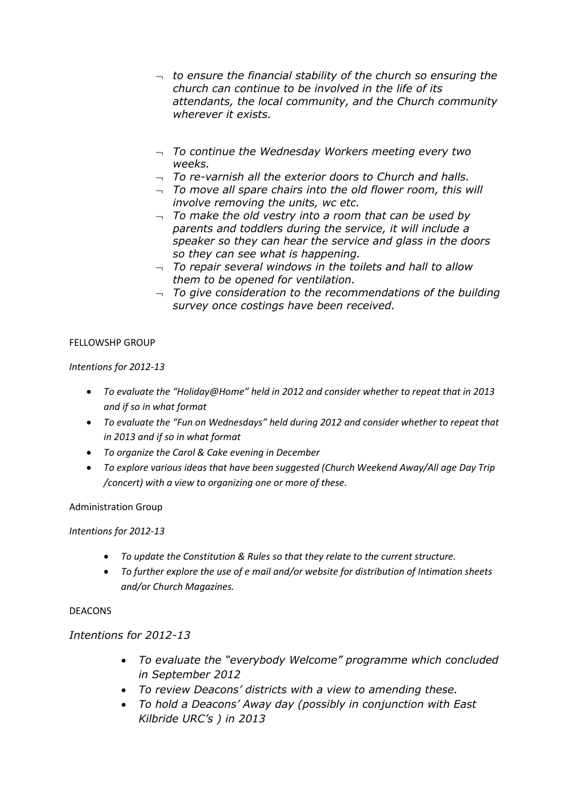- *to ensure the financial stability of the church so ensuring the church can continue to be involved in the life of its attendants, the local community, and the Church community wherever it exists.*
- *To continue the Wednesday Workers meeting every two weeks.*
- *To re-varnish all the exterior doors to Church and halls.*
- *To move all spare chairs into the old flower room, this will involve removing the units, wc etc.*
- *To make the old vestry into a room that can be used by parents and toddlers during the service, it will include a speaker so they can hear the service and glass in the doors so they can see what is happening.*
- *To repair several windows in the toilets and hall to allow them to be opened for ventilation.*
- *To give consideration to the recommendations of the building survey once costings have been received.*

## FELLOWSHP GROUP

*Intentions for 2012-13* 

- *To evaluate the "Holiday@Home" held in 2012 and consider whether to repeat that in 2013 and if so in what format*
- *To evaluate the "Fun on Wednesdays" held during 2012 and consider whether to repeat that in 2013 and if so in what format*
- *To organize the Carol & Cake evening in December*
- *To explore various ideas that have been suggested (Church Weekend Away/All age Day Trip /concert) with a view to organizing one or more of these.*

Administration Group

## *Intentions for 2012-13*

- *To update the Constitution & Rules so that they relate to the current structure.*
- *To further explore the use of e mail and/or website for distribution of Intimation sheets and/or Church Magazines.*

## DEACONS

## *Intentions for 2012-13*

- *To evaluate the "everybody Welcome" programme which concluded in September 2012*
- *To review Deacons' districts with a view to amending these.*
- *To hold a Deacons' Away day (possibly in conjunction with East Kilbride URC's ) in 2013*